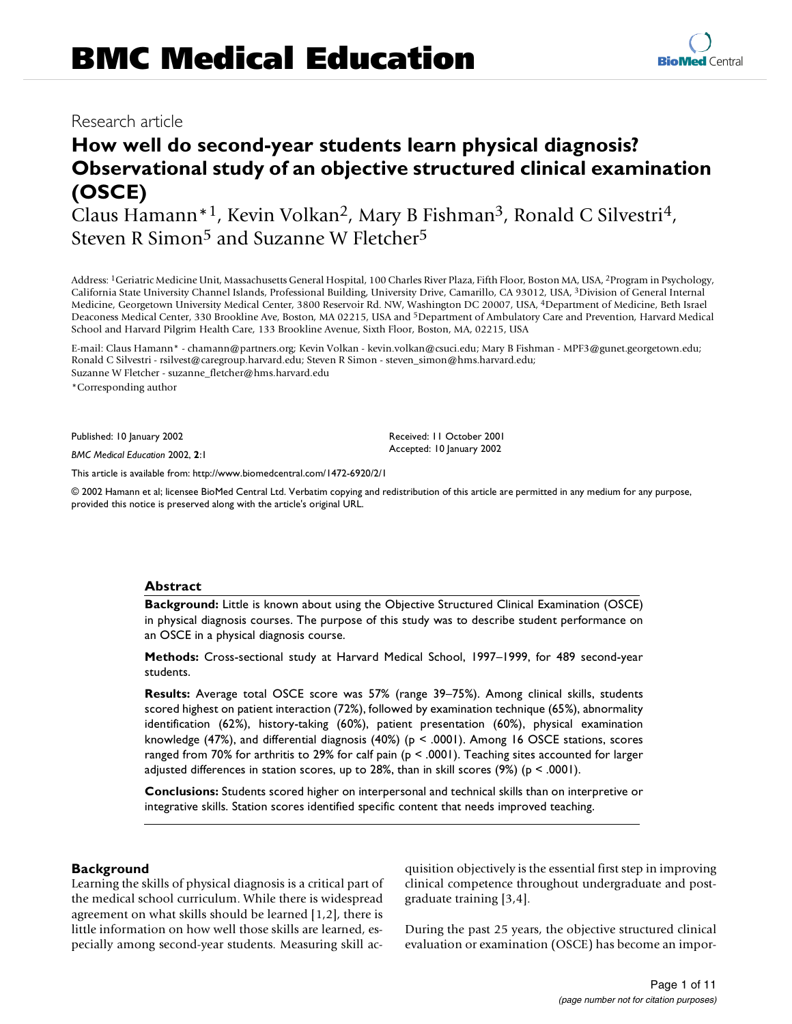# **How well do second-year students learn physical diagnosis? Observational study of an objective structured clinical examination (OSCE)**

Claus Hamann<sup>\*1</sup>, Kevin Volkan<sup>2</sup>, Mary B Fishman<sup>3</sup>, Ronald C Silvestri<sup>4</sup>, Steven R Simon<sup>5</sup> and Suzanne W Fletcher<sup>5</sup>

Address: 1Geriatric Medicine Unit, Massachusetts General Hospital, 100 Charles River Plaza, Fifth Floor, Boston MA, USA, 2Program in Psychology, California State University Channel Islands, Professional Building, University Drive, Camarillo, CA 93012, USA, 3Division of General Internal Medicine, Georgetown University Medical Center, 3800 Reservoir Rd. NW, Washington DC 20007, USA, 4Department of Medicine, Beth Israel Deaconess Medical Center, 330 Brookline Ave, Boston, MA 02215, USA and 5Department of Ambulatory Care and Prevention, Harvard Medical School and Harvard Pilgrim Health Care, 133 Brookline Avenue, Sixth Floor, Boston, MA, 02215, USA

E-mail: Claus Hamann\* - chamann@partners.org; Kevin Volkan - kevin.volkan@csuci.edu; Mary B Fishman - MPF3@gunet.georgetown.edu; Ronald C Silvestri - rsilvest@caregroup.harvard.edu; Steven R Simon - steven\_simon@hms.harvard.edu; Suzanne W Fletcher - suzanne\_fletcher@hms.harvard.edu

\*Corresponding author

Published: 10 January 2002

*BMC Medical Education* 2002, **2**:1

[This article is available from: http://www.biomedcentral.com/1472-6920/2/1](http://www.biomedcentral.com/1472-6920/2/1)

© 2002 Hamann et al; licensee BioMed Central Ltd. Verbatim copying and redistribution of this article are permitted in any medium for any purpose, provided this notice is preserved along with the article's original URL.

#### **Abstract**

**Background:** Little is known about using the Objective Structured Clinical Examination (OSCE) in physical diagnosis courses. The purpose of this study was to describe student performance on an OSCE in a physical diagnosis course.

**Methods:** Cross-sectional study at Harvard Medical School, 1997–1999, for 489 second-year students.

**Results:** Average total OSCE score was 57% (range 39–75%). Among clinical skills, students scored highest on patient interaction (72%), followed by examination technique (65%), abnormality identification (62%), history-taking (60%), patient presentation (60%), physical examination knowledge (47%), and differential diagnosis (40%) ( $p < .0001$ ). Among 16 OSCE stations, scores ranged from 70% for arthritis to 29% for calf pain (p < .0001). Teaching sites accounted for larger adjusted differences in station scores, up to 28%, than in skill scores  $(9%)$  (p < .0001).

**Conclusions:** Students scored higher on interpersonal and technical skills than on interpretive or integrative skills. Station scores identified specific content that needs improved teaching.

#### **Background**

Learning the skills of physical diagnosis is a critical part of the medical school curriculum. While there is widespread agreement on what skills should be learned [[1](#page-9-0),[2](#page-9-1)], there is little information on how well those skills are learned, especially among second-year students. Measuring skill ac-

quisition objectively is the essential first step in improving clinical competence throughout undergraduate and postgraduate training [[3](#page-9-2),[4](#page-9-3)].

During the past 25 years, the objective structured clinical evaluation or examination (OSCE) has become an impor-

Received: 11 October 2001 Accepted: 10 January 2002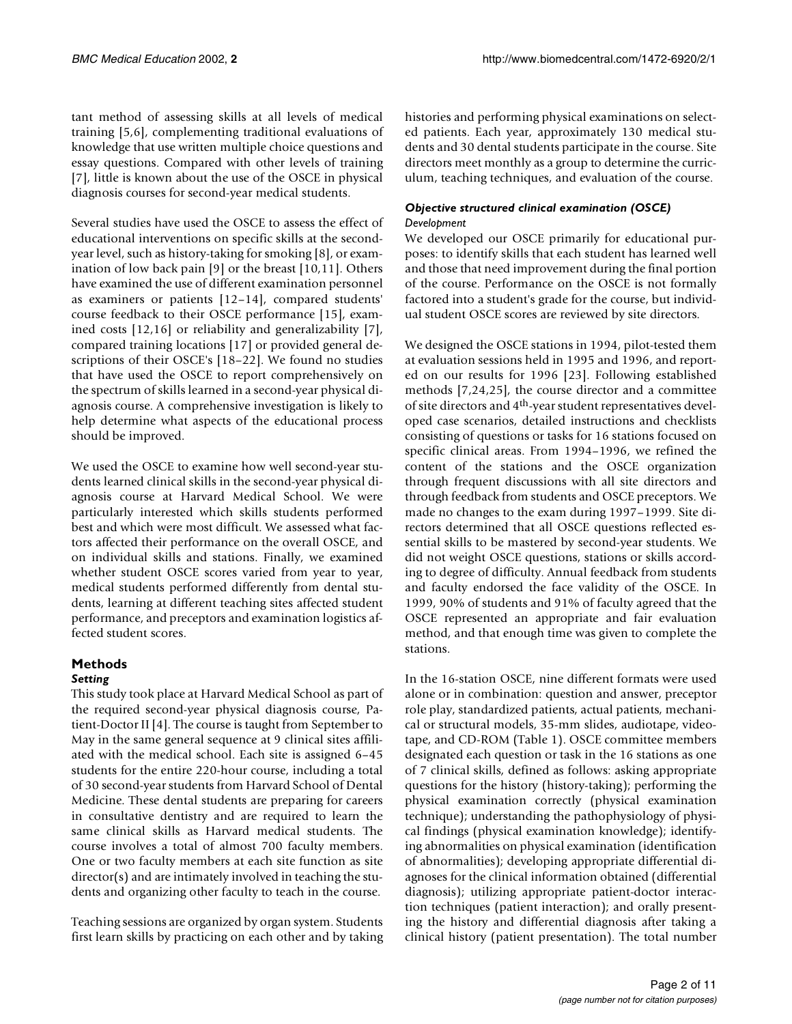tant method of assessing skills at all levels of medical training [\[5,](#page-9-4)[6](#page-9-5)], complementing traditional evaluations of knowledge that use written multiple choice questions and essay questions. Compared with other levels of training [[7](#page-9-6)], little is known about the use of the OSCE in physical diagnosis courses for second-year medical students.

Several studies have used the OSCE to assess the effect of educational interventions on specific skills at the secondyear level, such as history-taking for smoking [\[8\]](#page-9-7), or examination of low back pain [[9](#page-9-8)] or the breast [[10,](#page-9-9)[11](#page-9-10)]. Others have examined the use of different examination personnel as examiners or patients [\[12](#page-9-11)[–14](#page-9-12)], compared students' course feedback to their OSCE performance [\[15](#page-9-13)], examined costs [\[12](#page-9-11),[16](#page-9-14)] or reliability and generalizability [[7](#page-9-6)], compared training locations [\[17](#page-9-15)] or provided general descriptions of their OSCE's [\[18](#page-9-16)[–22](#page-9-17)]. We found no studies that have used the OSCE to report comprehensively on the spectrum of skills learned in a second-year physical diagnosis course. A comprehensive investigation is likely to help determine what aspects of the educational process should be improved.

We used the OSCE to examine how well second-year students learned clinical skills in the second-year physical diagnosis course at Harvard Medical School. We were particularly interested which skills students performed best and which were most difficult. We assessed what factors affected their performance on the overall OSCE, and on individual skills and stations. Finally, we examined whether student OSCE scores varied from year to year, medical students performed differently from dental students, learning at different teaching sites affected student performance, and preceptors and examination logistics affected student scores.

# **Methods**

# *Setting*

This study took place at Harvard Medical School as part of the required second-year physical diagnosis course, Patient-Doctor II [[4](#page-9-3)]. The course is taught from September to May in the same general sequence at 9 clinical sites affiliated with the medical school. Each site is assigned 6–45 students for the entire 220-hour course, including a total of 30 second-year students from Harvard School of Dental Medicine. These dental students are preparing for careers in consultative dentistry and are required to learn the same clinical skills as Harvard medical students. The course involves a total of almost 700 faculty members. One or two faculty members at each site function as site director(s) and are intimately involved in teaching the students and organizing other faculty to teach in the course.

Teaching sessions are organized by organ system. Students first learn skills by practicing on each other and by taking histories and performing physical examinations on selected patients. Each year, approximately 130 medical students and 30 dental students participate in the course. Site directors meet monthly as a group to determine the curriculum, teaching techniques, and evaluation of the course.

### *Objective structured clinical examination (OSCE) Development*

We developed our OSCE primarily for educational purposes: to identify skills that each student has learned well and those that need improvement during the final portion of the course. Performance on the OSCE is not formally factored into a student's grade for the course, but individual student OSCE scores are reviewed by site directors.

<span id="page-1-0"></span>We designed the OSCE stations in 1994, pilot-tested them at evaluation sessions held in 1995 and 1996, and reported on our results for 1996 [\[23](#page-9-18)]. Following established methods [[7](#page-9-6),[24](#page-9-19)[,25](#page-9-20)], the course director and a committee of site directors and 4<sup>th</sup>-year student representatives developed case scenarios, detailed instructions and checklists consisting of questions or tasks for 16 stations focused on specific clinical areas. From 1994–1996, we refined the content of the stations and the OSCE organization through frequent discussions with all site directors and through feedback from students and OSCE preceptors. We made no changes to the exam during 1997–1999. Site directors determined that all OSCE questions reflected essential skills to be mastered by second-year students. We did not weight OSCE questions, stations or skills according to degree of difficulty. Annual feedback from students and faculty endorsed the face validity of the OSCE. In 1999, 90% of students and 91% of faculty agreed that the OSCE represented an appropriate and fair evaluation method, and that enough time was given to complete the stations.

In the 16-station OSCE, nine different formats were used alone or in combination: question and answer, preceptor role play, standardized patients, actual patients, mechanical or structural models, 35-mm slides, audiotape, videotape, and CD-ROM (Table [1](#page-1-0)). OSCE committee members designated each question or task in the 16 stations as one of 7 clinical skills, defined as follows: asking appropriate questions for the history (history-taking); performing the physical examination correctly (physical examination technique); understanding the pathophysiology of physical findings (physical examination knowledge); identifying abnormalities on physical examination (identification of abnormalities); developing appropriate differential diagnoses for the clinical information obtained (differential diagnosis); utilizing appropriate patient-doctor interaction techniques (patient interaction); and orally presenting the history and differential diagnosis after taking a clinical history (patient presentation). The total number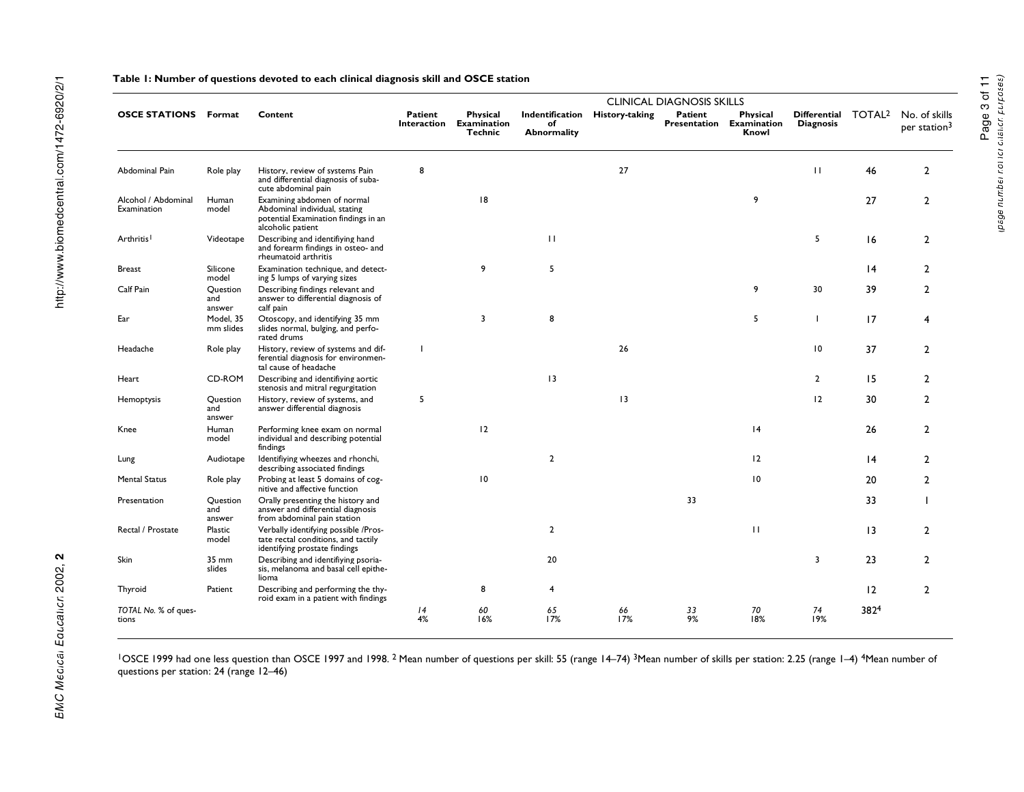|                                    |                           |                                                                                                                           | <b>CLINICAL DIAGNOSIS SKILLS</b> |                                           |                                             |                       |                                |                                                |                                         |                    |                                           |  |  |  |  |
|------------------------------------|---------------------------|---------------------------------------------------------------------------------------------------------------------------|----------------------------------|-------------------------------------------|---------------------------------------------|-----------------------|--------------------------------|------------------------------------------------|-----------------------------------------|--------------------|-------------------------------------------|--|--|--|--|
| <b>OSCE STATIONS</b>               | Format                    | Content                                                                                                                   | <b>Patient</b><br>Interaction    | Physical<br><b>Examination</b><br>Technic | Indentification<br>of<br><b>Abnormality</b> | <b>History-taking</b> | <b>Patient</b><br>Presentation | <b>Physical</b><br><b>Examination</b><br>Knowl | <b>Differential</b><br><b>Diagnosis</b> | TOTAL <sup>2</sup> | No. of skills<br>per station <sup>3</sup> |  |  |  |  |
| Abdominal Pain                     | Role play                 | History, review of systems Pain<br>and differential diagnosis of suba-<br>cute abdominal pain                             | 8                                |                                           |                                             | 27                    |                                |                                                | $\mathbf{H}$                            | 46                 | 2                                         |  |  |  |  |
| Alcohol / Abdominal<br>Examination | Human<br>model            | Examining abdomen of normal<br>Abdominal individual, stating<br>potential Examination findings in an<br>alcoholic patient |                                  | 8                                         |                                             |                       |                                | 9                                              |                                         | 27                 | 2                                         |  |  |  |  |
| Arthritis                          | Videotape                 | Describing and identifiying hand<br>and forearm findings in osteo- and<br>rheumatoid arthritis                            |                                  |                                           | $\mathbf{H}$                                |                       |                                |                                                | 5                                       | 16                 | $\overline{2}$                            |  |  |  |  |
| Breast                             | Silicone<br>model         | Examination technique, and detect-<br>ing 5 lumps of varying sizes                                                        |                                  | 9                                         | 5                                           |                       |                                |                                                |                                         | 4                  | $\overline{2}$                            |  |  |  |  |
| Calf Pain                          | Ouestion<br>and<br>answer | Describing findings relevant and<br>answer to differential diagnosis of<br>calf pain                                      |                                  |                                           |                                             |                       |                                | 9                                              | 30                                      | 39                 | $\overline{2}$                            |  |  |  |  |
| Ear                                | Model, 35<br>mm slides    | Otoscopy, and identifying 35 mm<br>slides normal, bulging, and perfo-<br>rated drums                                      |                                  | 3                                         | 8                                           |                       |                                | 5                                              |                                         | 17                 | 4                                         |  |  |  |  |
| Headache                           | Role play                 | History, review of systems and dif-<br>ferential diagnosis for environmen-<br>tal cause of headache                       | $\mathbf{I}$                     |                                           |                                             | 26                    |                                |                                                | $\overline{10}$                         | 37                 | $\overline{2}$                            |  |  |  |  |
| Heart                              | CD-ROM                    | Describing and identifiying aortic<br>stenosis and mitral regurgitation                                                   |                                  |                                           | 3                                           |                       |                                |                                                | 2                                       | 15                 | $\overline{2}$                            |  |  |  |  |
| Hemoptysis                         | Question<br>and<br>answer | History, review of systems, and<br>answer differential diagnosis                                                          | 5                                |                                           |                                             | 3                     |                                |                                                | 12                                      | 30                 | $\overline{2}$                            |  |  |  |  |
| Knee                               | Human<br>model            | Performing knee exam on normal<br>individual and describing potential<br>findings                                         |                                  | 12                                        |                                             |                       |                                | 4                                              |                                         | 26                 | 2                                         |  |  |  |  |
| Lung                               | Audiotape                 | Identifiying wheezes and rhonchi,<br>describing associated findings                                                       |                                  |                                           | $\overline{2}$                              |                       |                                | $ 2\rangle$                                    |                                         | $\overline{14}$    | $\overline{2}$                            |  |  |  |  |
| <b>Mental Status</b>               | Role play                 | Probing at least 5 domains of cog-<br>nitive and affective function                                                       |                                  | $\overline{10}$                           |                                             |                       |                                | 10                                             |                                         | 20                 | 2                                         |  |  |  |  |
| Presentation                       | Question<br>and<br>answer | Orally presenting the history and<br>answer and differential diagnosis<br>from abdominal pain station                     |                                  |                                           |                                             |                       | 33                             |                                                |                                         | 33                 |                                           |  |  |  |  |
| Rectal / Prostate                  | Plastic<br>model          | Verbally identifying possible /Pros-<br>tate rectal conditions, and tactily<br>identifying prostate findings              |                                  |                                           | $\overline{2}$                              |                       |                                | $\mathbf{H}$                                   |                                         | $\overline{13}$    | $\overline{2}$                            |  |  |  |  |
| Skin                               | 35 mm<br>slides           | Describing and identifiying psoria-<br>sis, melanoma and basal cell epithe-<br>lioma                                      |                                  |                                           | 20                                          |                       |                                |                                                | 3                                       | 23                 | $\overline{2}$                            |  |  |  |  |
| Thyroid                            | Patient                   | Describing and performing the thy-<br>roid exam in a patient with findings                                                |                                  | 8                                         | $\overline{4}$                              |                       |                                |                                                |                                         | 12                 | 2                                         |  |  |  |  |
| TOTAL No. % of ques-<br>tions      |                           |                                                                                                                           | 4<br>4%                          | 60<br>16%                                 | 65<br>17%                                   | 66<br>17%             | 33<br>9%                       | 70<br>18%                                      | 74<br>19%                               | 3824               |                                           |  |  |  |  |

#### **Table 1: Number of questions devoted to each clinical diagnosis skill and OSCE station**

<sup>1</sup>OSCE 1999 had one less question than OSCE 1997 and 1998. <sup>2</sup> Mean number of questions per skill: 55 (range 14–74) <sup>3</sup>Mean number of skills per station: 2.25 (range 1–4) <sup>4</sup>Mean number of questions per station: 24 (range 12–46)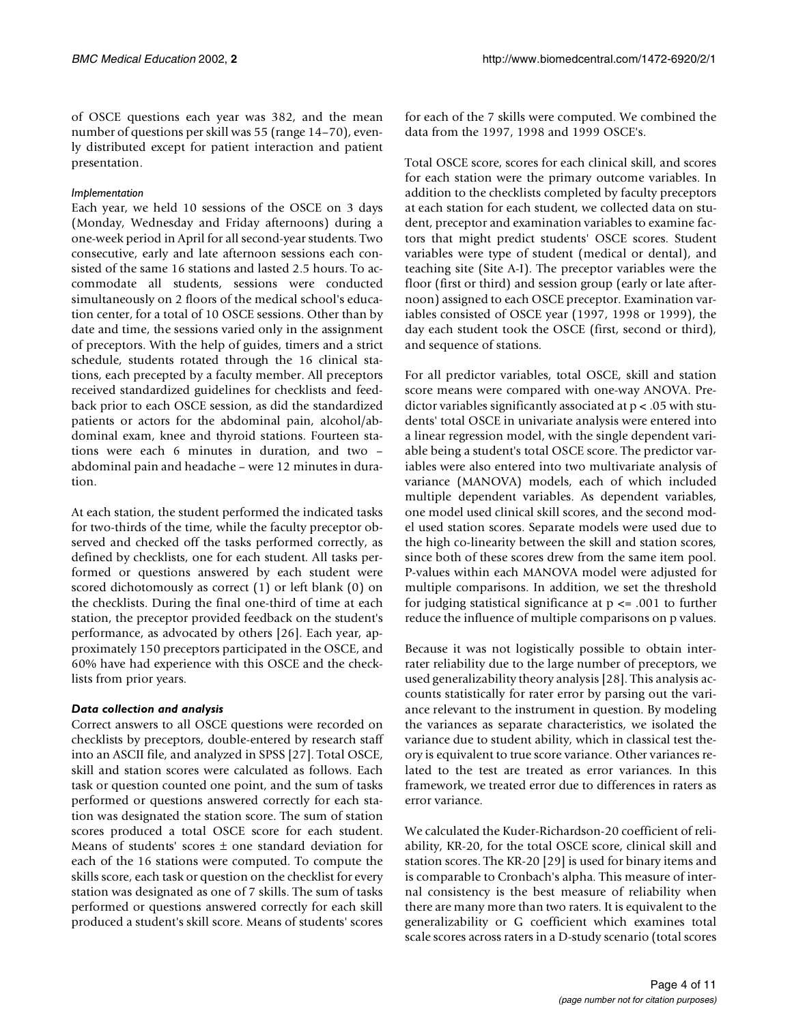of OSCE questions each year was 382, and the mean number of questions per skill was 55 (range 14–70), evenly distributed except for patient interaction and patient presentation.

#### *Implementation*

Each year, we held 10 sessions of the OSCE on 3 days (Monday, Wednesday and Friday afternoons) during a one-week period in April for all second-year students. Two consecutive, early and late afternoon sessions each consisted of the same 16 stations and lasted 2.5 hours. To accommodate all students, sessions were conducted simultaneously on 2 floors of the medical school's education center, for a total of 10 OSCE sessions. Other than by date and time, the sessions varied only in the assignment of preceptors. With the help of guides, timers and a strict schedule, students rotated through the 16 clinical stations, each precepted by a faculty member. All preceptors received standardized guidelines for checklists and feedback prior to each OSCE session, as did the standardized patients or actors for the abdominal pain, alcohol/abdominal exam, knee and thyroid stations. Fourteen stations were each 6 minutes in duration, and two – abdominal pain and headache – were 12 minutes in duration.

At each station, the student performed the indicated tasks for two-thirds of the time, while the faculty preceptor observed and checked off the tasks performed correctly, as defined by checklists, one for each student. All tasks performed or questions answered by each student were scored dichotomously as correct (1) or left blank (0) on the checklists. During the final one-third of time at each station, the preceptor provided feedback on the student's performance, as advocated by others [\[26\]](#page-9-21). Each year, approximately 150 preceptors participated in the OSCE, and 60% have had experience with this OSCE and the checklists from prior years.

### *Data collection and analysis*

Correct answers to all OSCE questions were recorded on checklists by preceptors, double-entered by research staff into an ASCII file, and analyzed in SPSS [\[27](#page-9-22)]. Total OSCE, skill and station scores were calculated as follows. Each task or question counted one point, and the sum of tasks performed or questions answered correctly for each station was designated the station score. The sum of station scores produced a total OSCE score for each student. Means of students' scores  $\pm$  one standard deviation for each of the 16 stations were computed. To compute the skills score, each task or question on the checklist for every station was designated as one of 7 skills. The sum of tasks performed or questions answered correctly for each skill produced a student's skill score. Means of students' scores for each of the 7 skills were computed. We combined the data from the 1997, 1998 and 1999 OSCE's.

Total OSCE score, scores for each clinical skill, and scores for each station were the primary outcome variables. In addition to the checklists completed by faculty preceptors at each station for each student, we collected data on student, preceptor and examination variables to examine factors that might predict students' OSCE scores. Student variables were type of student (medical or dental), and teaching site (Site A-I). The preceptor variables were the floor (first or third) and session group (early or late afternoon) assigned to each OSCE preceptor. Examination variables consisted of OSCE year (1997, 1998 or 1999), the day each student took the OSCE (first, second or third), and sequence of stations.

For all predictor variables, total OSCE, skill and station score means were compared with one-way ANOVA. Predictor variables significantly associated at p < .05 with students' total OSCE in univariate analysis were entered into a linear regression model, with the single dependent variable being a student's total OSCE score. The predictor variables were also entered into two multivariate analysis of variance (MANOVA) models, each of which included multiple dependent variables. As dependent variables, one model used clinical skill scores, and the second model used station scores. Separate models were used due to the high co-linearity between the skill and station scores, since both of these scores drew from the same item pool. P-values within each MANOVA model were adjusted for multiple comparisons. In addition, we set the threshold for judging statistical significance at p <= .001 to further reduce the influence of multiple comparisons on p values.

Because it was not logistically possible to obtain interrater reliability due to the large number of preceptors, we used generalizability theory analysis [[28\]](#page-9-23). This analysis accounts statistically for rater error by parsing out the variance relevant to the instrument in question. By modeling the variances as separate characteristics, we isolated the variance due to student ability, which in classical test theory is equivalent to true score variance. Other variances related to the test are treated as error variances. In this framework, we treated error due to differences in raters as error variance.

<span id="page-3-0"></span>We calculated the Kuder-Richardson-20 coefficient of reliability, KR-20, for the total OSCE score, clinical skill and station scores. The KR-20 [\[29\]](#page-9-24) is used for binary items and is comparable to Cronbach's alpha. This measure of internal consistency is the best measure of reliability when there are many more than two raters. It is equivalent to the generalizability or G coefficient which examines total scale scores across raters in a D-study scenario (total scores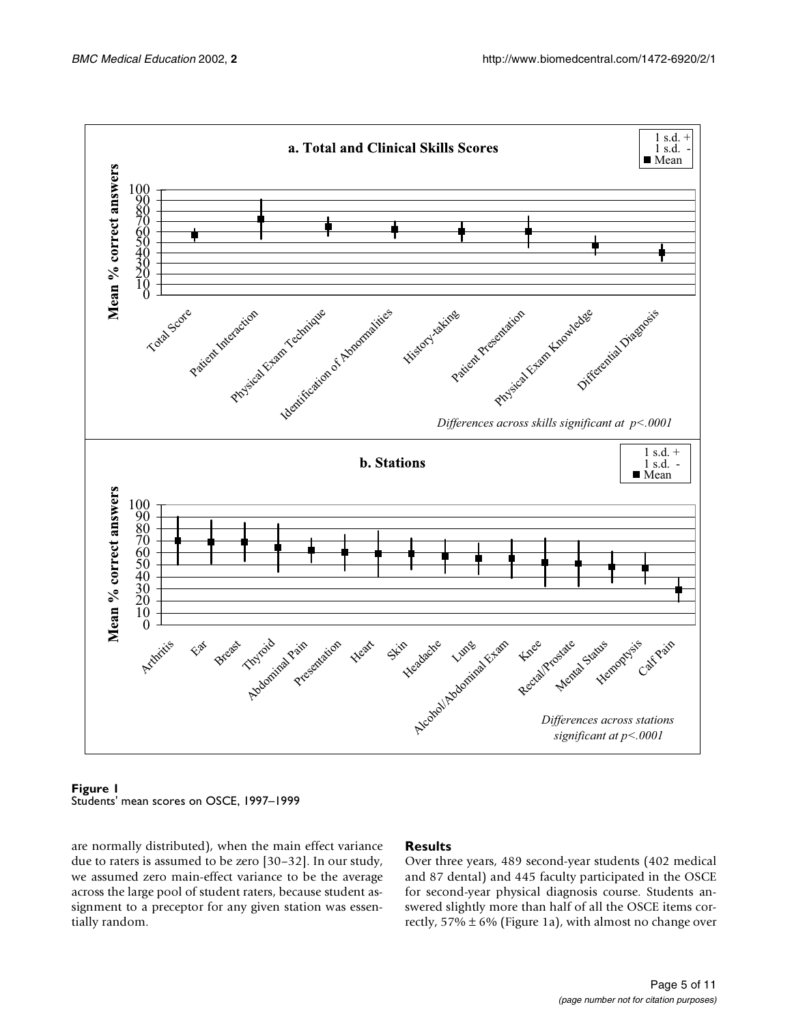

<span id="page-4-0"></span>**Figure 1** Students' mean scores on OSCE, 1997–1999

are normally distributed), when the main effect variance due to raters is assumed to be zero [\[30](#page-9-25)–[32\]](#page-9-26). In our study, we assumed zero main-effect variance to be the average across the large pool of student raters, because student assignment to a preceptor for any given station was essentially random.

# **Results**

Over three years, 489 second-year students (402 medical and 87 dental) and 445 faculty participated in the OSCE for second-year physical diagnosis course. Students answered slightly more than half of all the OSCE items correctly,  $57\% \pm 6\%$  (Figure [1](#page-4-0)a), with almost no change over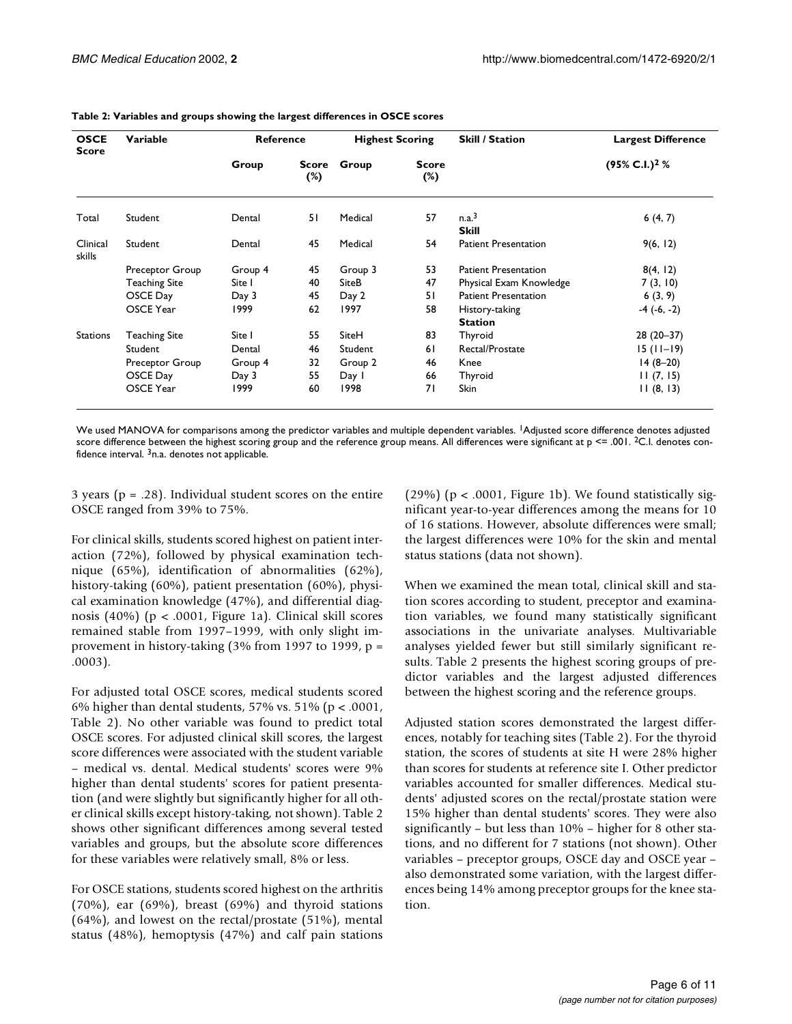| <b>OSCE</b><br><b>Score</b> | Variable             | <b>Reference</b> |                        | <b>Highest Scoring</b> |                     | <b>Skill / Station</b>            | <b>Largest Difference</b><br>$(95\% C.I.)^2$ % |  |  |
|-----------------------------|----------------------|------------------|------------------------|------------------------|---------------------|-----------------------------------|------------------------------------------------|--|--|
|                             |                      | Group            | <b>Score</b><br>$(\%)$ | Group                  | <b>Score</b><br>(%) |                                   |                                                |  |  |
| Total                       | Student              | Dental           | 51                     | Medical                | 57                  | n.a. <sup>3</sup><br><b>Skill</b> | 6(4, 7)                                        |  |  |
| Clinical<br>skills          | Student              | Dental           | 45                     | Medical                | 54                  | <b>Patient Presentation</b>       | 9(6, 12)                                       |  |  |
|                             | Preceptor Group      | Group 4          | 45                     | Group 3                | 53                  | <b>Patient Presentation</b>       | 8(4, 12)                                       |  |  |
|                             | Teaching Site        | Site I           | 40                     | SiteB                  | 47                  | Physical Exam Knowledge           | 7(3, 10)                                       |  |  |
|                             | OSCE Day             | Day 3            | 45                     | Day 2                  | 51                  | <b>Patient Presentation</b>       | 6(3, 9)                                        |  |  |
|                             | OSCE Year            | 1999             | 62                     | 1997                   | 58                  | History-taking                    | $-4(-6,-2)$                                    |  |  |
|                             |                      |                  |                        |                        |                     | <b>Station</b>                    |                                                |  |  |
| <b>Stations</b>             | <b>Teaching Site</b> | Site I           | 55                     | SiteH                  | 83                  | Thyroid                           | $28(20-37)$                                    |  |  |
|                             | Student              | Dental           | 46                     | Student                | 61                  | Rectal/Prostate                   | $15(11-19)$                                    |  |  |
|                             | Preceptor Group      | Group 4          | 32                     | Group 2                | 46                  | Knee                              | $14(8-20)$                                     |  |  |
|                             | OSCE Day             | Day 3            | 55                     | Day I                  | 66                  | Thyroid                           | 11(7, 15)                                      |  |  |
|                             | OSCE Year            | 1999             | 60                     | 1998                   | 71                  | <b>Skin</b>                       | 11(8, 13)                                      |  |  |

**Table 2: Variables and groups showing the largest differences in OSCE scores**

We used MANOVA for comparisons among the predictor variables and multiple dependent variables. <sup>1</sup>Adjusted score difference denotes adjusted score difference between the highest scoring group and the reference group means. All differences were significant at  $p \le 0.01$ . <sup>2</sup>C.I. denotes confidence interval. <sup>3</sup>n.a. denotes not applicable.

3 years ( $p = .28$ ). Individual student scores on the entire OSCE ranged from 39% to 75%.

For clinical skills, students scored highest on patient interaction (72%), followed by physical examination technique (65%), identification of abnormalities (62%), history-taking (60%), patient presentation (60%), physical examination knowledge (47%), and differential diagnosis (40%) (p < .0001, Figure [1a](#page-4-0)). Clinical skill scores remained stable from 1997–1999, with only slight improvement in history-taking (3% from 1997 to 1999, p = .0003).

For adjusted total OSCE scores, medical students scored 6% higher than dental students, 57% vs. 51% ( $p < .0001$ , Table [2\)](#page-3-0). No other variable was found to predict total OSCE scores. For adjusted clinical skill scores, the largest score differences were associated with the student variable – medical vs. dental. Medical students' scores were 9% higher than dental students' scores for patient presentation (and were slightly but significantly higher for all other clinical skills except history-taking, not shown). Table [2](#page-3-0) shows other significant differences among several tested variables and groups, but the absolute score differences for these variables were relatively small, 8% or less.

For OSCE stations, students scored highest on the arthritis (70%), ear (69%), breast (69%) and thyroid stations (64%), and lowest on the rectal/prostate (51%), mental status (48%), hemoptysis (47%) and calf pain stations (29%) ( $p < .0001$  $p < .0001$ , Figure 1b). We found statistically significant year-to-year differences among the means for 10 of 16 stations. However, absolute differences were small; the largest differences were 10% for the skin and mental status stations (data not shown).

When we examined the mean total, clinical skill and station scores according to student, preceptor and examination variables, we found many statistically significant associations in the univariate analyses. Multivariable analyses yielded fewer but still similarly significant results. Table [2](#page-3-0) presents the highest scoring groups of predictor variables and the largest adjusted differences between the highest scoring and the reference groups.

<span id="page-5-0"></span>Adjusted station scores demonstrated the largest differences, notably for teaching sites (Table [2](#page-3-0)). For the thyroid station, the scores of students at site H were 28% higher than scores for students at reference site I. Other predictor variables accounted for smaller differences. Medical students' adjusted scores on the rectal/prostate station were 15% higher than dental students' scores. They were also significantly – but less than 10% – higher for 8 other stations, and no different for 7 stations (not shown). Other variables – preceptor groups, OSCE day and OSCE year – also demonstrated some variation, with the largest differences being 14% among preceptor groups for the knee station.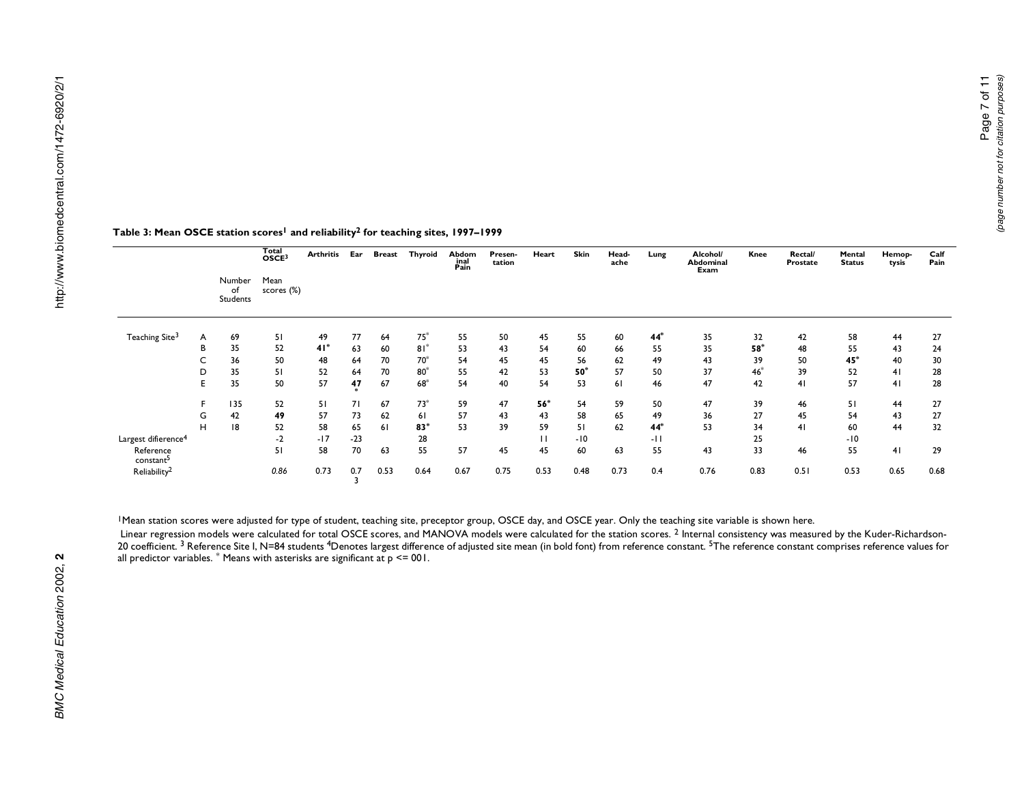**Table 3: Mean OSCE station scores1 and reliability2 for teaching sites, 1997–1999**

|                                    |   |                          | Total<br>OSCE3     | Arthritis | Ear   | <b>Breast</b> | Thyroid      | Abdom<br>inal<br>Pain | Presen-<br>tation | Heart | Skin  | Head-<br>ache | Lung  | Alcohol/<br>Abdominal<br>Exam | Knee  | Rectal/<br>Prostate | Mental<br><b>Status</b> | Hemop-<br>tysis | Calf<br>Pain |
|------------------------------------|---|--------------------------|--------------------|-----------|-------|---------------|--------------|-----------------------|-------------------|-------|-------|---------------|-------|-------------------------------|-------|---------------------|-------------------------|-----------------|--------------|
|                                    |   | Number<br>of<br>Students | Mean<br>scores (%) |           |       |               |              |                       |                   |       |       |               |       |                               |       |                     |                         |                 |              |
| Teaching Site <sup>3</sup>         | A | 69                       | 51                 | 49        | 77    | 64            | $75^*$       | 55                    | 50                | 45    | 55    | 60            | $44*$ | 35                            | 32    | 42                  | 58                      | 44              | 27           |
|                                    | в | 35                       | 52                 | $41*$     | 63    | 60            | 81*          | 53                    | 43                | 54    | 60    | 66            | 55    | 35                            | 58*   | 48                  | 55                      | 43              | 24           |
|                                    | ◡ | 36                       | 50                 | 48        | 64    | 70            | $70^{\circ}$ | 54                    | 45                | 45    | 56    | 62            | 49    | 43                            | 39    | 50                  | $45^*$                  | 40              | 30           |
|                                    | D | 35                       | 51                 | 52        | 64    | 70            | $80^{\circ}$ | 55                    | 42                | 53    | 50*   | 57            | 50    | 37                            | $46*$ | 39                  | 52                      | 41              | 28           |
|                                    | E | 35                       | 50                 | 57        | 47    | 67            | $68*$        | 54                    | 40                | 54    | 53    | 61            | 46    | 47                            | 42    | 41                  | 57                      | 41              | 28           |
|                                    |   | 135                      | 52                 | 51        | 71    | 67            | $73*$        | 59                    | 47                | $56*$ | 54    | 59            | 50    | 47                            | 39    | 46                  | 51                      | 44              | 27           |
|                                    | G | 42                       | 49                 | 57        | 73    | 62            | 61           | 57                    | 43                | 43    | 58    | 65            | 49    | 36                            | 27    | 45                  | 54                      | 43              | 27           |
|                                    | H | 18                       | 52                 | 58        | 65    | 61            | $83*$        | 53                    | 39                | 59    | 51    | 62            | $44*$ | 53                            | 34    | 41                  | 60                      | 44              | 32           |
| Largest difierence <sup>4</sup>    |   |                          | $-2$               | $-17$     | $-23$ |               | 28           |                       |                   | п     | $-10$ |               | $-11$ |                               | 25    |                     | $-10$                   |                 |              |
| Reference<br>constant <sup>5</sup> |   |                          | 51                 | 58        | 70    | 63            | 55           | 57                    | 45                | 45    | 60    | 63            | 55    | 43                            | 33    | 46                  | 55                      | 41              | 29           |
| Reliability <sup>2</sup>           |   |                          | 0.86               | 0.73      | 0.7   | 0.53          | 0.64         | 0.67                  | 0.75              | 0.53  | 0.48  | 0.73          | 0.4   | 0.76                          | 0.83  | 0.51                | 0.53                    | 0.65            | 0.68         |

<sup>1</sup>Mean station scores were adjusted for type of student, teaching site, preceptor group, OSCE day, and OSCE year. Only the teaching site variable is shown here.

Linear regression models were calculated for total OSCE scores, and MANOVA models were calculated for the station scores. <sup>2</sup> Internal consistency was measured by the Kuder-Richardson-20 coefficient.<sup>3</sup> Reference Site I, N=84 students <sup>4</sup>Denotes largest difference of adjusted site mean (in bold font) from reference constant.<sup>5</sup>The reference constant comprises reference values for all predictor variables.  $*$  Means with asterisks are significant at  $p \le 001$ .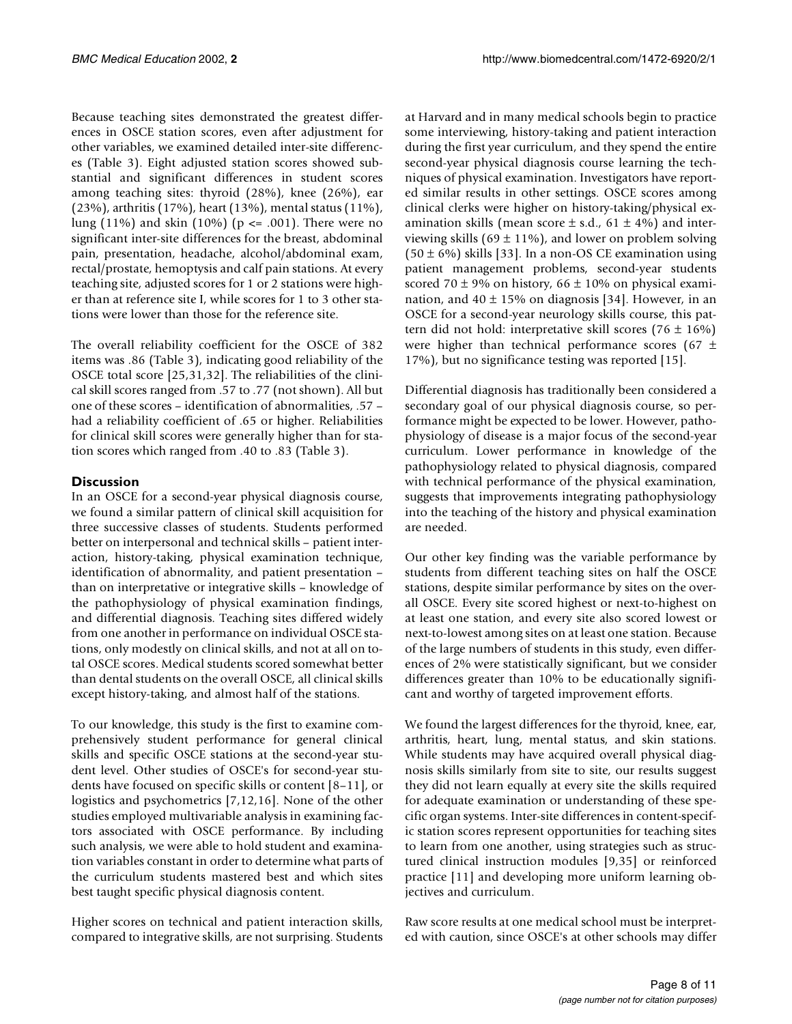Because teaching sites demonstrated the greatest differences in OSCE station scores, even after adjustment for other variables, we examined detailed inter-site differences (Table [3\)](#page-5-0). Eight adjusted station scores showed substantial and significant differences in student scores among teaching sites: thyroid (28%), knee (26%), ear (23%), arthritis (17%), heart (13%), mental status (11%), lung (11%) and skin (10%) (p <= .001). There were no significant inter-site differences for the breast, abdominal pain, presentation, headache, alcohol/abdominal exam, rectal/prostate, hemoptysis and calf pain stations. At every teaching site, adjusted scores for 1 or 2 stations were higher than at reference site I, while scores for 1 to 3 other stations were lower than those for the reference site.

The overall reliability coefficient for the OSCE of 382 items was .86 (Table [3](#page-5-0)), indicating good reliability of the OSCE total score [\[25,](#page-9-20)[31](#page-9-27)[,32](#page-9-26)]. The reliabilities of the clinical skill scores ranged from .57 to .77 (not shown). All but one of these scores – identification of abnormalities, .57 – had a reliability coefficient of .65 or higher. Reliabilities for clinical skill scores were generally higher than for station scores which ranged from .40 to .83 (Table [3](#page-5-0)).

## **Discussion**

In an OSCE for a second-year physical diagnosis course, we found a similar pattern of clinical skill acquisition for three successive classes of students. Students performed better on interpersonal and technical skills – patient interaction, history-taking, physical examination technique, identification of abnormality, and patient presentation – than on interpretative or integrative skills – knowledge of the pathophysiology of physical examination findings, and differential diagnosis. Teaching sites differed widely from one another in performance on individual OSCE stations, only modestly on clinical skills, and not at all on total OSCE scores. Medical students scored somewhat better than dental students on the overall OSCE, all clinical skills except history-taking, and almost half of the stations.

To our knowledge, this study is the first to examine comprehensively student performance for general clinical skills and specific OSCE stations at the second-year student level. Other studies of OSCE's for second-year students have focused on specific skills or content [\[8–](#page-9-7)[11\]](#page-9-10), or logistics and psychometrics [[7](#page-9-6),[12,](#page-9-11)[16](#page-9-14)]. None of the other studies employed multivariable analysis in examining factors associated with OSCE performance. By including such analysis, we were able to hold student and examination variables constant in order to determine what parts of the curriculum students mastered best and which sites best taught specific physical diagnosis content.

Higher scores on technical and patient interaction skills, compared to integrative skills, are not surprising. Students

at Harvard and in many medical schools begin to practice some interviewing, history-taking and patient interaction during the first year curriculum, and they spend the entire second-year physical diagnosis course learning the techniques of physical examination. Investigators have reported similar results in other settings. OSCE scores among clinical clerks were higher on history-taking/physical examination skills (mean score  $\pm$  s.d., 61  $\pm$  4%) and interviewing skills (69  $\pm$  11%), and lower on problem solving  $(50 \pm 6\%)$  skills [[33](#page-9-28)]. In a non-OS CE examination using patient management problems, second-year students scored 70  $\pm$  9% on history, 66  $\pm$  10% on physical examination, and 40 ± 15% on diagnosis [\[34](#page-10-0)]. However, in an OSCE for a second-year neurology skills course, this pattern did not hold: interpretative skill scores (76  $\pm$  16%) were higher than technical performance scores (67 ± 17%), but no significance testing was reported [\[15](#page-9-13)].

Differential diagnosis has traditionally been considered a secondary goal of our physical diagnosis course, so performance might be expected to be lower. However, pathophysiology of disease is a major focus of the second-year curriculum. Lower performance in knowledge of the pathophysiology related to physical diagnosis, compared with technical performance of the physical examination, suggests that improvements integrating pathophysiology into the teaching of the history and physical examination are needed.

Our other key finding was the variable performance by students from different teaching sites on half the OSCE stations, despite similar performance by sites on the overall OSCE. Every site scored highest or next-to-highest on at least one station, and every site also scored lowest or next-to-lowest among sites on at least one station. Because of the large numbers of students in this study, even differences of 2% were statistically significant, but we consider differences greater than 10% to be educationally significant and worthy of targeted improvement efforts.

We found the largest differences for the thyroid, knee, ear, arthritis, heart, lung, mental status, and skin stations. While students may have acquired overall physical diagnosis skills similarly from site to site, our results suggest they did not learn equally at every site the skills required for adequate examination or understanding of these specific organ systems. Inter-site differences in content-specific station scores represent opportunities for teaching sites to learn from one another, using strategies such as structured clinical instruction modules [\[9](#page-9-8)[,35](#page-10-1)] or reinforced practice [\[11](#page-9-10)] and developing more uniform learning objectives and curriculum.

Raw score results at one medical school must be interpreted with caution, since OSCE's at other schools may differ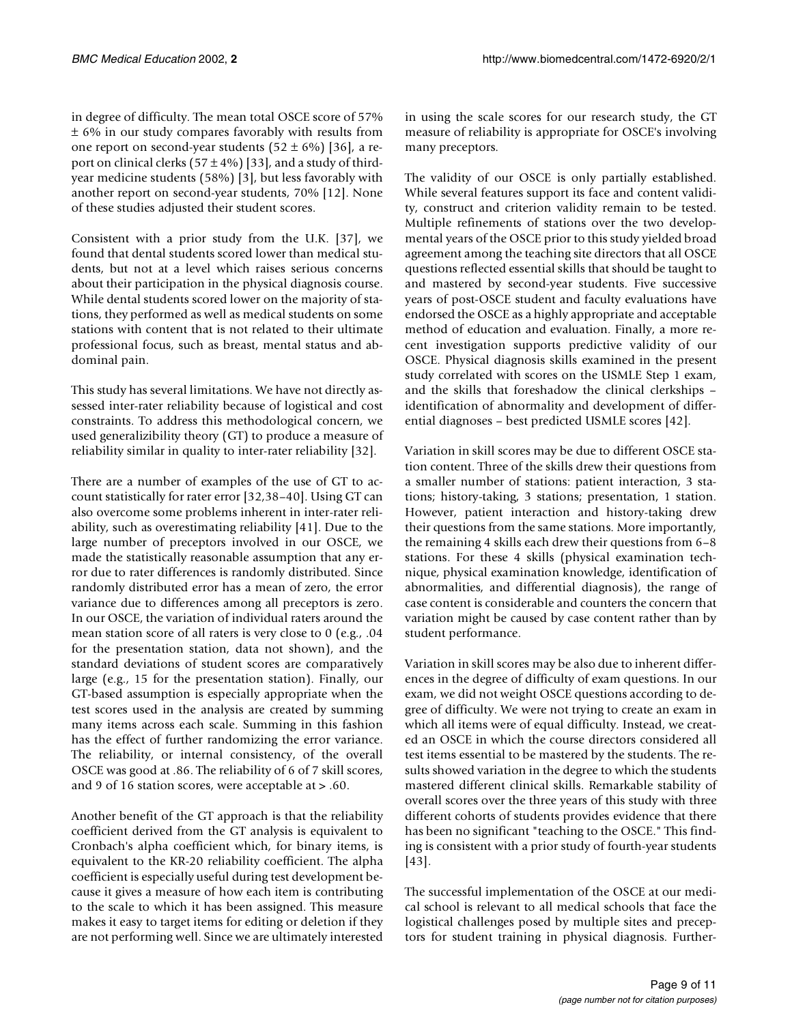in degree of difficulty. The mean total OSCE score of 57%  $\pm$  6% in our study compares favorably with results from one report on second-year students  $(52 \pm 6\%)$  [[36\]](#page-10-2), a report on clinical clerks (57  $\pm$  4%) [[33](#page-9-28)], and a study of thirdyear medicine students (58%) [\[3\]](#page-9-2), but less favorably with another report on second-year students, 70% [[12\]](#page-9-11). None of these studies adjusted their student scores.

Consistent with a prior study from the U.K. [[37\]](#page-10-3), we found that dental students scored lower than medical students, but not at a level which raises serious concerns about their participation in the physical diagnosis course. While dental students scored lower on the majority of stations, they performed as well as medical students on some stations with content that is not related to their ultimate professional focus, such as breast, mental status and abdominal pain.

This study has several limitations. We have not directly assessed inter-rater reliability because of logistical and cost constraints. To address this methodological concern, we used generalizibility theory (GT) to produce a measure of reliability similar in quality to inter-rater reliability [[32](#page-9-26)].

There are a number of examples of the use of GT to account statistically for rater error [[32,](#page-9-26)[38](#page-10-4)[–40](#page-10-5)]. Using GT can also overcome some problems inherent in inter-rater reliability, such as overestimating reliability [[41](#page-10-6)]. Due to the large number of preceptors involved in our OSCE, we made the statistically reasonable assumption that any error due to rater differences is randomly distributed. Since randomly distributed error has a mean of zero, the error variance due to differences among all preceptors is zero. In our OSCE, the variation of individual raters around the mean station score of all raters is very close to 0 (e.g., .04 for the presentation station, data not shown), and the standard deviations of student scores are comparatively large (e.g., 15 for the presentation station). Finally, our GT-based assumption is especially appropriate when the test scores used in the analysis are created by summing many items across each scale. Summing in this fashion has the effect of further randomizing the error variance. The reliability, or internal consistency, of the overall OSCE was good at .86. The reliability of 6 of 7 skill scores, and 9 of 16 station scores, were acceptable at > .60.

Another benefit of the GT approach is that the reliability coefficient derived from the GT analysis is equivalent to Cronbach's alpha coefficient which, for binary items, is equivalent to the KR-20 reliability coefficient. The alpha coefficient is especially useful during test development because it gives a measure of how each item is contributing to the scale to which it has been assigned. This measure makes it easy to target items for editing or deletion if they are not performing well. Since we are ultimately interested

in using the scale scores for our research study, the GT measure of reliability is appropriate for OSCE's involving many preceptors.

The validity of our OSCE is only partially established. While several features support its face and content validity, construct and criterion validity remain to be tested. Multiple refinements of stations over the two developmental years of the OSCE prior to this study yielded broad agreement among the teaching site directors that all OSCE questions reflected essential skills that should be taught to and mastered by second-year students. Five successive years of post-OSCE student and faculty evaluations have endorsed the OSCE as a highly appropriate and acceptable method of education and evaluation. Finally, a more recent investigation supports predictive validity of our OSCE. Physical diagnosis skills examined in the present study correlated with scores on the USMLE Step 1 exam, and the skills that foreshadow the clinical clerkships – identification of abnormality and development of differential diagnoses – best predicted USMLE scores [\[42](#page-10-7)].

Variation in skill scores may be due to different OSCE station content. Three of the skills drew their questions from a smaller number of stations: patient interaction, 3 stations; history-taking, 3 stations; presentation, 1 station. However, patient interaction and history-taking drew their questions from the same stations. More importantly, the remaining 4 skills each drew their questions from 6–8 stations. For these 4 skills (physical examination technique, physical examination knowledge, identification of abnormalities, and differential diagnosis), the range of case content is considerable and counters the concern that variation might be caused by case content rather than by student performance.

Variation in skill scores may be also due to inherent differences in the degree of difficulty of exam questions. In our exam, we did not weight OSCE questions according to degree of difficulty. We were not trying to create an exam in which all items were of equal difficulty. Instead, we created an OSCE in which the course directors considered all test items essential to be mastered by the students. The results showed variation in the degree to which the students mastered different clinical skills. Remarkable stability of overall scores over the three years of this study with three different cohorts of students provides evidence that there has been no significant "teaching to the OSCE." This finding is consistent with a prior study of fourth-year students [[43](#page-10-8)].

The successful implementation of the OSCE at our medical school is relevant to all medical schools that face the logistical challenges posed by multiple sites and preceptors for student training in physical diagnosis. Further-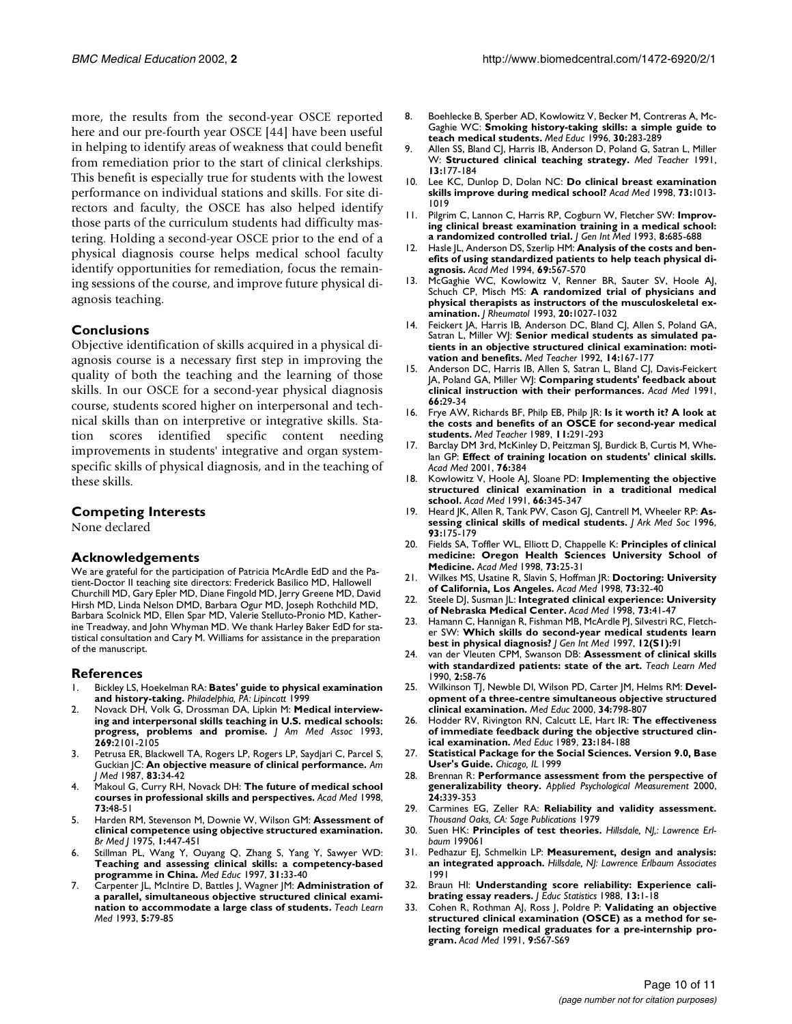more, the results from the second-year OSCE reported here and our pre-fourth year OSCE [[44](#page-10-9)] have been useful in helping to identify areas of weakness that could benefit from remediation prior to the start of clinical clerkships. This benefit is especially true for students with the lowest performance on individual stations and skills. For site directors and faculty, the OSCE has also helped identify those parts of the curriculum students had difficulty mastering. Holding a second-year OSCE prior to the end of a physical diagnosis course helps medical school faculty identify opportunities for remediation, focus the remaining sessions of the course, and improve future physical diagnosis teaching.

### **Conclusions**

Objective identification of skills acquired in a physical diagnosis course is a necessary first step in improving the quality of both the teaching and the learning of those skills. In our OSCE for a second-year physical diagnosis course, students scored higher on interpersonal and technical skills than on interpretive or integrative skills. Station scores identified specific content needing improvements in students' integrative and organ systemspecific skills of physical diagnosis, and in the teaching of these skills.

#### **Competing Interests**

None declared

#### **Acknowledgements**

We are grateful for the participation of Patricia McArdle EdD and the Patient-Doctor II teaching site directors: Frederick Basilico MD, Hallowell Churchill MD, Gary Epler MD, Diane Fingold MD, Jerry Greene MD, David Hirsh MD, Linda Nelson DMD, Barbara Ogur MD, Joseph Rothchild MD, Barbara Scolnick MD, Ellen Spar MD, Valerie Stelluto-Pronio MD, Katherine Treadway, and John Whyman MD. We thank Harley Baker EdD for statistical consultation and Cary M. Williams for assistance in the preparation of the manuscript.

### **References**

- <span id="page-9-0"></span>1. Bickley LS, Hoekelman RA: **Bates' guide to physical examination and history-taking.** *Philadelphia, PA: Lipincott* 1999
- <span id="page-9-1"></span>2. Novack DH, Volk G, Drossman DA, Lipkin M: **Medical interviewing and interpersonal skills teaching in U.S. medical schools: progress, problems and promise.** *J Am Med Assoc* 1993, **269:**2101-2105
- <span id="page-9-2"></span>Petrusa ER, Blackwell TA, Rogers LP, Rogers LP, Saydjari C, Parcel S, [Guckian JC:](http://www.ncbi.nlm.nih.gov/entrez/query.fcgi?cmd=Retrieve&db=PubMed&dopt=Abstract&list_uids=3605180) **An objective measure of clinical performance.** *Am J Med* 1987, **83:**34-42
- <span id="page-9-3"></span>Makoul G, Curry RH, Novack DH: The future of medical school **courses in professional skills and perspectives.** *Acad Med* 1998, **73:**48-51
- <span id="page-9-4"></span>5. [Harden RM, Stevenson M, Downie W, Wilson GM:](http://www.ncbi.nlm.nih.gov/entrez/query.fcgi?cmd=Retrieve&db=PubMed&dopt=Abstract&list_uids=1115966) **Assessment of clinical competence using objective structured examination.** *Br Med J* 1975, **1:**447-451
- <span id="page-9-5"></span>Stillman PL, Wang Y, Ouyang Q, Zhang S, Yang Y, Sawyer WD: **Teaching and assessing clinical skills: a competency-based programme in China.** *Med Educ* 1997, **31:**33-40
- <span id="page-9-6"></span>7. Carpenter JL, McIntire D, Battles J, Wagner JM: **Administration of a parallel, simultaneous objective structured clinical examination to accommodate a large class of students.** *Teach Learn Med* 1993, **5:**79-85
- <span id="page-9-7"></span>8. [Boehlecke B, Sperber AD, Kowlowitz V, Becker M, Contreras A, Mc-](http://www.ncbi.nlm.nih.gov/entrez/query.fcgi?cmd=Retrieve&db=PubMed&dopt=Abstract&list_uids=8949540)[Gaghie WC:](http://www.ncbi.nlm.nih.gov/entrez/query.fcgi?cmd=Retrieve&db=PubMed&dopt=Abstract&list_uids=8949540) **Smoking history-taking skills: a simple guide to teach medical students.** *Med Educ* 1996, **30:**283-289
- <span id="page-9-8"></span>9. Allen SS, Bland CJ, Harris IB, Anderson D, Poland G, Satran L, Miller W: **Structured clinical teaching strategy.** *Med Teacher* 1991, **13:**177-184
- <span id="page-9-9"></span>10. [Lee KC, Dunlop D, Dolan NC:](http://www.ncbi.nlm.nih.gov/entrez/query.fcgi?cmd=Retrieve&db=PubMed&dopt=Abstract&list_uids=9759109) **Do clinical breast examination skills improve during medical school?** *Acad Med* 1998, **73:**1013- 1019
- <span id="page-9-10"></span>11. Pilgrim C, Lannon C, Harris RP, Cogburn W, Fletcher SW: **Improving clinical breast examination training in a medical school: a randomized controlled trial.** *J Gen Int Med* 1993, **8:**685-688
- <span id="page-9-11"></span>12. [Hasle JL, Anderson DS, Szerlip HM:](http://www.ncbi.nlm.nih.gov/entrez/query.fcgi?cmd=Retrieve&db=PubMed&dopt=Abstract&list_uids=8018268) **Analysis of the costs and benefits of using standardized patients to help teach physical diagnosis.** *Acad Med* 1994, **69:**567-570
- 13. [McGaghie WC, Kowlowitz V, Renner BR, Sauter SV, Hoole AJ,](http://www.ncbi.nlm.nih.gov/entrez/query.fcgi?cmd=Retrieve&db=PubMed&dopt=Abstract&list_uids=8350309) [Schuch CP, Misch MS:](http://www.ncbi.nlm.nih.gov/entrez/query.fcgi?cmd=Retrieve&db=PubMed&dopt=Abstract&list_uids=8350309) **A randomized trial of physicians and physical therapists as instructors of the musculoskeletal examination.** *J Rheumatol* 1993, **20:**1027-1032
- <span id="page-9-12"></span>14. Feickert JA, Harris IB, Anderson DC, Bland CJ, Allen S, Poland GA, Satran L, Miller WJ: **Senior medical students as simulated patients in an objective structured clinical examination: motivation and benefits.** *Med Teacher* 1992, **14:**167-177
- <span id="page-9-13"></span>15. [Anderson DC, Harris IB, Allen S, Satran L, Bland CJ, Davis-Feickert](http://www.ncbi.nlm.nih.gov/entrez/query.fcgi?cmd=Retrieve&db=PubMed&dopt=Abstract&list_uids=1985673) [JA, Poland GA, Miller WJ:](http://www.ncbi.nlm.nih.gov/entrez/query.fcgi?cmd=Retrieve&db=PubMed&dopt=Abstract&list_uids=1985673) **Comparing students' feedback about clinical instruction with their performances.** *Acad Med* 1991, **66:**29-34
- <span id="page-9-14"></span>16. Frye AW, Richards BF, Philp EB, Philp JR: **Is it worth it? A look at the costs and benefits of an OSCE for second-year medical students.** *Med Teacher* 1989, **11:**291-293
- <span id="page-9-15"></span>17. [Barclay DM 3rd, McKinley D, Peitzman SJ, Burdick B, Curtis M, Whe](http://www.ncbi.nlm.nih.gov/entrez/query.fcgi?cmd=Retrieve&db=PubMed&dopt=Abstract&list_uids=11299156)[lan GP:](http://www.ncbi.nlm.nih.gov/entrez/query.fcgi?cmd=Retrieve&db=PubMed&dopt=Abstract&list_uids=11299156) **Effect of training location on students' clinical skills.** *Acad Med* 2001, **76:**384
- <span id="page-9-16"></span>18. [Kowlowitz V, Hoole AJ, Sloane PD:](http://www.ncbi.nlm.nih.gov/entrez/query.fcgi?cmd=Retrieve&db=PubMed&dopt=Abstract&list_uids=2069655) **Implementing the objective structured clinical examination in a traditional medical school.** *Acad Med* 1991, **66:**345-347
- 19. [Heard JK, Allen R, Tank PW, Cason GJ, Cantrell M, Wheeler RP:](http://www.ncbi.nlm.nih.gov/entrez/query.fcgi?cmd=Retrieve&db=PubMed&dopt=Abstract&list_uids=8840746) **Assessing clinical skills of medical students.** *J Ark Med Soc* 1996, **93:**175-179
- 20. [Fields SA, Toffler WL, Elliott D, Chappelle K:](http://www.ncbi.nlm.nih.gov/entrez/query.fcgi?cmd=Retrieve&db=PubMed&dopt=Abstract&list_uids=9447198) **Principles of clinical medicine: Oregon Health Sciences University School of Medicine.** *Acad Med* 1998, **73:**25-31
- 21. [Wilkes MS, Usatine R, Slavin S, Hoffman JR:](http://www.ncbi.nlm.nih.gov/entrez/query.fcgi?cmd=Retrieve&db=PubMed&dopt=Abstract&list_uids=9447199) **Doctoring: University of California, Los Angeles.** *Acad Med* 1998, **73:**32-40
- <span id="page-9-17"></span>22. [Steele DJ, Susman JL:](http://www.ncbi.nlm.nih.gov/entrez/query.fcgi?cmd=Retrieve&db=PubMed&dopt=Abstract&list_uids=9447200) **Integrated clinical experience: University of Nebraska Medical Center.** *Acad Med* 1998, **73:**41-47
- <span id="page-9-18"></span>23. Hamann C, Hannigan R, Fishman MB, McArdle PJ, Silvestri RC, Fletcher SW: **Which skills do second-year medical students learn best in physical diagnosis?** *J Gen Int Med* 1997, **12(S1):**91
- <span id="page-9-19"></span>24. van der Vleuten CPM, Swanson DB: **Assessment of clinical skills with standardized patients: state of the art.** *Teach Learn Med* 1990, **2:**58-76
- <span id="page-9-20"></span>25. [Wilkinson TJ, Newble DI, Wilson PD, Carter JM, Helms RM:](http://www.ncbi.nlm.nih.gov/entrez/query.fcgi?cmd=Retrieve&db=PubMed&dopt=Abstract&list_uids=11012928) **Development of a three-centre simultaneous objective structured clinical examination.** *Med Educ* 2000, **34:**798-807
- <span id="page-9-21"></span>26. [Hodder RV, Rivington RN, Calcutt LE, Hart IR:](http://www.ncbi.nlm.nih.gov/entrez/query.fcgi?cmd=Retrieve&db=PubMed&dopt=Abstract&list_uids=2716557) **The effectiveness of immediate feedback during the objective structured clinical examination.** *Med Educ* 1989, **23:**184-188
- <span id="page-9-22"></span>27. **Statistical Package for the Social Sciences. Version 9.0, Base User's Guide.** *Chicago, IL* 1999
- <span id="page-9-23"></span>28. Brennan R: **Performance assessment from the perspective of generalizability theory.** *Applied Psychological Measurement* 2000, **24:**339-353
- <span id="page-9-24"></span>29. Carmines EG, Zeller RA: **Reliability and validity assessment.** *Thousand Oaks, CA: Sage Publications* 1979
- <span id="page-9-25"></span>30. Suen HK: **Principles of test theories.** *Hillsdale, NJ,: Lawrence Erlbaum* 199061
- <span id="page-9-27"></span>31. Pedhazur EJ, Schmelkin LP: **Measurement, design and analysis: an integrated approach.** *Hillsdale, NJ: Lawrence Erlbaum Associates* 1991
- <span id="page-9-26"></span>32. Braun HI: **Understanding score reliability: Experience calibrating essay readers.** *J Educ Statistics* 1988, **13:**1-18
- <span id="page-9-28"></span>33. Cohen R, Rothman AJ, Ross J, Poldre P: **Validating an objective structured clinical examination (OSCE) as a method for selecting foreign medical graduates for a pre-internship program.** *Acad Med* 1991, **9:**S67-S69